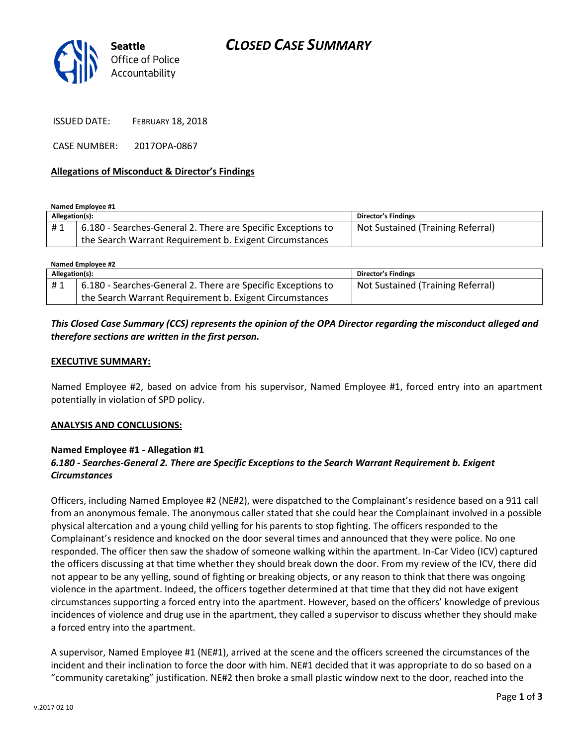

ISSUED DATE: FEBRUARY 18, 2018

CASE NUMBER: 2017OPA-0867

### **Allegations of Misconduct & Director's Findings**

**Named Employee #1**

| Allegation(s): |                                                              | Director's Findings               |
|----------------|--------------------------------------------------------------|-----------------------------------|
| #1             | 6.180 - Searches-General 2. There are Specific Exceptions to | Not Sustained (Training Referral) |
|                | the Search Warrant Requirement b. Exigent Circumstances      |                                   |

| Named Employee #2 |                                                              |                                   |  |
|-------------------|--------------------------------------------------------------|-----------------------------------|--|
| Allegation(s):    |                                                              | Director's Findings               |  |
| #1                | 6.180 - Searches-General 2. There are Specific Exceptions to | Not Sustained (Training Referral) |  |
|                   | the Search Warrant Requirement b. Exigent Circumstances      |                                   |  |

## *This Closed Case Summary (CCS) represents the opinion of the OPA Director regarding the misconduct alleged and therefore sections are written in the first person.*

### **EXECUTIVE SUMMARY:**

Named Employee #2, based on advice from his supervisor, Named Employee #1, forced entry into an apartment potentially in violation of SPD policy.

#### **ANALYSIS AND CONCLUSIONS:**

### **Named Employee #1 - Allegation #1**

## *6.180 - Searches-General 2. There are Specific Exceptions to the Search Warrant Requirement b. Exigent Circumstances*

Officers, including Named Employee #2 (NE#2), were dispatched to the Complainant's residence based on a 911 call from an anonymous female. The anonymous caller stated that she could hear the Complainant involved in a possible physical altercation and a young child yelling for his parents to stop fighting. The officers responded to the Complainant's residence and knocked on the door several times and announced that they were police. No one responded. The officer then saw the shadow of someone walking within the apartment. In-Car Video (ICV) captured the officers discussing at that time whether they should break down the door. From my review of the ICV, there did not appear to be any yelling, sound of fighting or breaking objects, or any reason to think that there was ongoing violence in the apartment. Indeed, the officers together determined at that time that they did not have exigent circumstances supporting a forced entry into the apartment. However, based on the officers' knowledge of previous incidences of violence and drug use in the apartment, they called a supervisor to discuss whether they should make a forced entry into the apartment.

A supervisor, Named Employee #1 (NE#1), arrived at the scene and the officers screened the circumstances of the incident and their inclination to force the door with him. NE#1 decided that it was appropriate to do so based on a "community caretaking" justification. NE#2 then broke a small plastic window next to the door, reached into the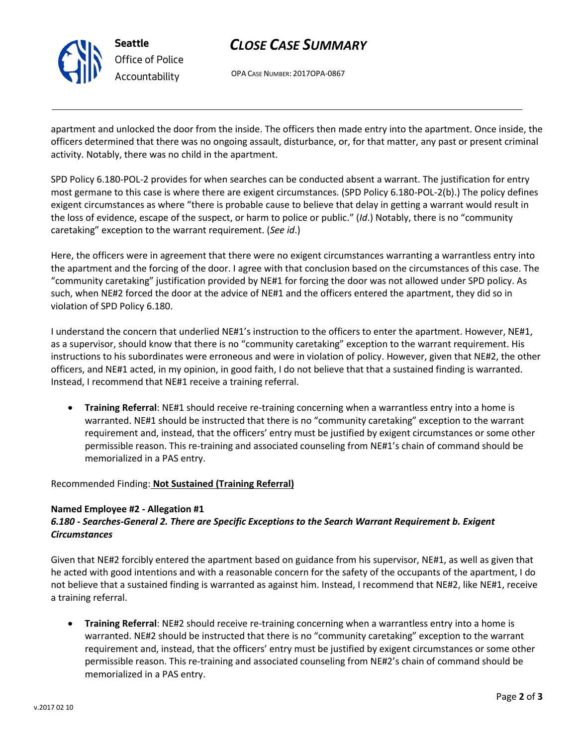

## *CLOSE CASE SUMMARY*

OPA CASE NUMBER: 2017OPA-0867

apartment and unlocked the door from the inside. The officers then made entry into the apartment. Once inside, the officers determined that there was no ongoing assault, disturbance, or, for that matter, any past or present criminal activity. Notably, there was no child in the apartment.

SPD Policy 6.180-POL-2 provides for when searches can be conducted absent a warrant. The justification for entry most germane to this case is where there are exigent circumstances. (SPD Policy 6.180-POL-2(b).) The policy defines exigent circumstances as where "there is probable cause to believe that delay in getting a warrant would result in the loss of evidence, escape of the suspect, or harm to police or public." (*Id*.) Notably, there is no "community caretaking" exception to the warrant requirement. (*See id*.)

Here, the officers were in agreement that there were no exigent circumstances warranting a warrantless entry into the apartment and the forcing of the door. I agree with that conclusion based on the circumstances of this case. The "community caretaking" justification provided by NE#1 for forcing the door was not allowed under SPD policy. As such, when NE#2 forced the door at the advice of NE#1 and the officers entered the apartment, they did so in violation of SPD Policy 6.180.

I understand the concern that underlied NE#1's instruction to the officers to enter the apartment. However, NE#1, as a supervisor, should know that there is no "community caretaking" exception to the warrant requirement. His instructions to his subordinates were erroneous and were in violation of policy. However, given that NE#2, the other officers, and NE#1 acted, in my opinion, in good faith, I do not believe that that a sustained finding is warranted. Instead, I recommend that NE#1 receive a training referral.

• **Training Referral**: NE#1 should receive re-training concerning when a warrantless entry into a home is warranted. NE#1 should be instructed that there is no "community caretaking" exception to the warrant requirement and, instead, that the officers' entry must be justified by exigent circumstances or some other permissible reason. This re-training and associated counseling from NE#1's chain of command should be memorialized in a PAS entry.

## Recommended Finding: **Not Sustained (Training Referral)**

### **Named Employee #2 - Allegation #1**

## *6.180 - Searches-General 2. There are Specific Exceptions to the Search Warrant Requirement b. Exigent Circumstances*

Given that NE#2 forcibly entered the apartment based on guidance from his supervisor, NE#1, as well as given that he acted with good intentions and with a reasonable concern for the safety of the occupants of the apartment, I do not believe that a sustained finding is warranted as against him. Instead, I recommend that NE#2, like NE#1, receive a training referral.

• **Training Referral**: NE#2 should receive re-training concerning when a warrantless entry into a home is warranted. NE#2 should be instructed that there is no "community caretaking" exception to the warrant requirement and, instead, that the officers' entry must be justified by exigent circumstances or some other permissible reason. This re-training and associated counseling from NE#2's chain of command should be memorialized in a PAS entry.